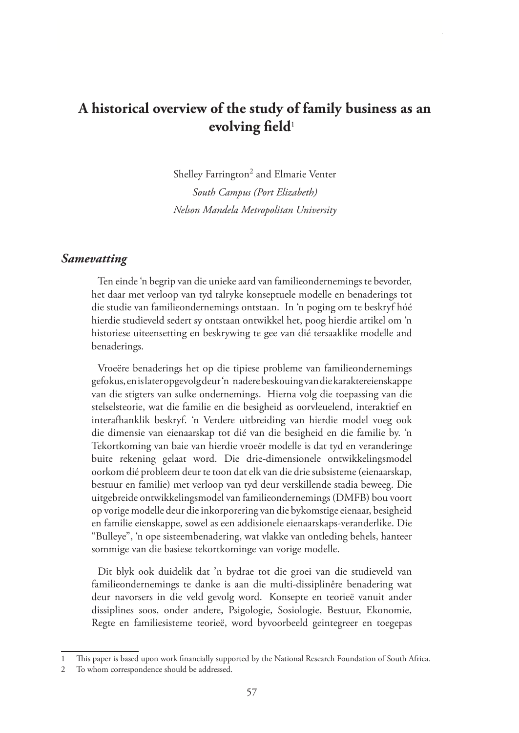# **A historical overview of the study of family business as an evolving field**<sup>1</sup>

Shelley Farrington<sup>2</sup> and Elmarie Venter *South Campus (Port Elizabeth) Nelson Mandela Metropolitan University*

#### *Samevatting*

Ten einde 'n begrip van die unieke aard van familieondernemings te bevorder, het daar met verloop van tyd talryke konseptuele modelle en benaderings tot die studie van familieondernemings ontstaan. In 'n poging om te beskryf hóé hierdie studieveld sedert sy ontstaan ontwikkel het, poog hierdie artikel om 'n historiese uiteensetting en beskrywing te gee van dié tersaaklike modelle and benaderings.

Vroeëre benaderings het op die tipiese probleme van familieondernemings gefokus, en is later opgevolg deur 'n nadere beskouing van die karaktereienskappe van die stigters van sulke ondernemings. Hierna volg die toepassing van die stelselsteorie, wat die familie en die besigheid as oorvleuelend, interaktief en interafhanklik beskryf. 'n Verdere uitbreiding van hierdie model voeg ook die dimensie van eienaarskap tot dié van die besigheid en die familie by. 'n Tekortkoming van baie van hierdie vroeër modelle is dat tyd en veranderinge buite rekening gelaat word. Die drie-dimensionele ontwikkelingsmodel oorkom dié probleem deur te toon dat elk van die drie subsisteme (eienaarskap, bestuur en familie) met verloop van tyd deur verskillende stadia beweeg. Die uitgebreide ontwikkelingsmodel van familieondernemings (DMFB) bou voort op vorige modelle deur die inkorporering van die bykomstige eienaar, besigheid en familie eienskappe, sowel as een addisionele eienaarskaps-veranderlike. Die "Bulleye", 'n ope sisteembenadering, wat vlakke van ontleding behels, hanteer sommige van die basiese tekortkominge van vorige modelle.

Dit blyk ook duidelik dat 'n bydrae tot die groei van die studieveld van familieondernemings te danke is aan die multi-dissiplinêre benadering wat deur navorsers in die veld gevolg word. Konsepte en teorieë vanuit ander dissiplines soos, onder andere, Psigologie, Sosiologie, Bestuur, Ekonomie, Regte en familiesisteme teorieë, word byvoorbeeld geintegreer en toegepas

<sup>1</sup> This paper is based upon work financially supported by the National Research Foundation of South Africa.

<sup>2</sup> To whom correspondence should be addressed.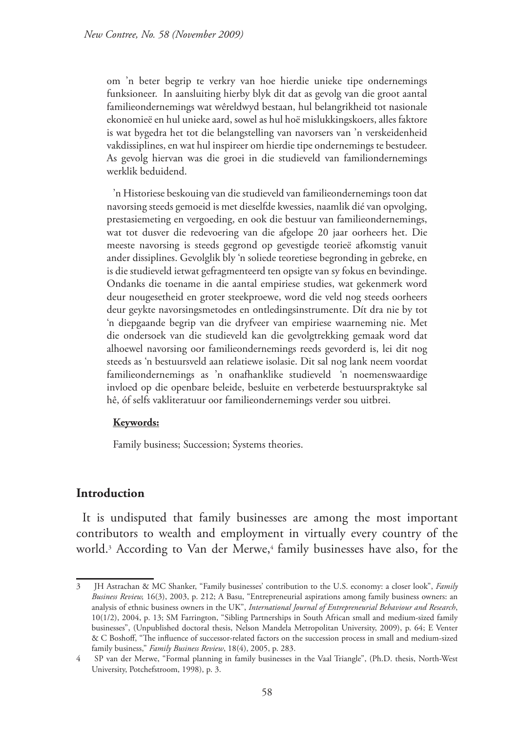om 'n beter begrip te verkry van hoe hierdie unieke tipe ondernemings funksioneer. In aansluiting hierby blyk dit dat as gevolg van die groot aantal familieondernemings wat wêreldwyd bestaan, hul belangrikheid tot nasionale ekonomieë en hul unieke aard, sowel as hul hoë mislukkingskoers, alles faktore is wat bygedra het tot die belangstelling van navorsers van 'n verskeidenheid vakdissiplines, en wat hul inspireer om hierdie tipe ondernemings te bestudeer. As gevolg hiervan was die groei in die studieveld van familiondernemings werklik beduidend.

'n Historiese beskouing van die studieveld van familieondernemings toon dat navorsing steeds gemoeid is met dieselfde kwessies, naamlik dié van opvolging, prestasiemeting en vergoeding, en ook die bestuur van familieondernemings, wat tot dusver die redevoering van die afgelope 20 jaar oorheers het. Die meeste navorsing is steeds gegrond op gevestigde teorieë afkomstig vanuit ander dissiplines. Gevolglik bly 'n soliede teoretiese begronding in gebreke, en is die studieveld ietwat gefragmenteerd ten opsigte van sy fokus en bevindinge. Ondanks die toename in die aantal empiriese studies, wat gekenmerk word deur nougesetheid en groter steekproewe, word die veld nog steeds oorheers deur geykte navorsingsmetodes en ontledingsinstrumente. Dít dra nie by tot 'n diepgaande begrip van die dryfveer van empiriese waarneming nie. Met die ondersoek van die studieveld kan die gevolgtrekking gemaak word dat alhoewel navorsing oor familieondernemings reeds gevorderd is, lei dit nog steeds as 'n bestuursveld aan relatiewe isolasie. Dit sal nog lank neem voordat familieondernemings as 'n onafhanklike studieveld 'n noemenswaardige invloed op die openbare beleide, besluite en verbeterde bestuurspraktyke sal hê, óf selfs vakliteratuur oor familieondernemings verder sou uitbrei.

#### **Keywords:**

Family business; Succession; Systems theories.

### **Introduction**

It is undisputed that family businesses are among the most important contributors to wealth and employment in virtually every country of the world.<sup>3</sup> According to Van der Merwe,<sup>4</sup> family businesses have also, for the

<sup>3</sup> JH Astrachan & MC Shanker, "Family businesses' contribution to the U.S. economy: a closer look", *Family Business Review,* 16(3), 2003, p. 212; A Basu, "Entrepreneurial aspirations among family business owners: an analysis of ethnic business owners in the UK", *International Journal of Entrepreneurial Behaviour and Research*, 10(1/2), 2004, p. 13; SM Farrington, "Sibling Partnerships in South African small and medium-sized family businesses", (Unpublished doctoral thesis, Nelson Mandela Metropolitan University, 2009), p. 64; E Venter & C Boshoff, "The influence of successor-related factors on the succession process in small and medium-sized family business," *Family Business Review*, 18(4), 2005, p. 283.

<sup>4</sup> SP van der Merwe, "Formal planning in family businesses in the Vaal Triangle", (Ph.D. thesis, North-West University, Potchefstroom, 1998), p. 3.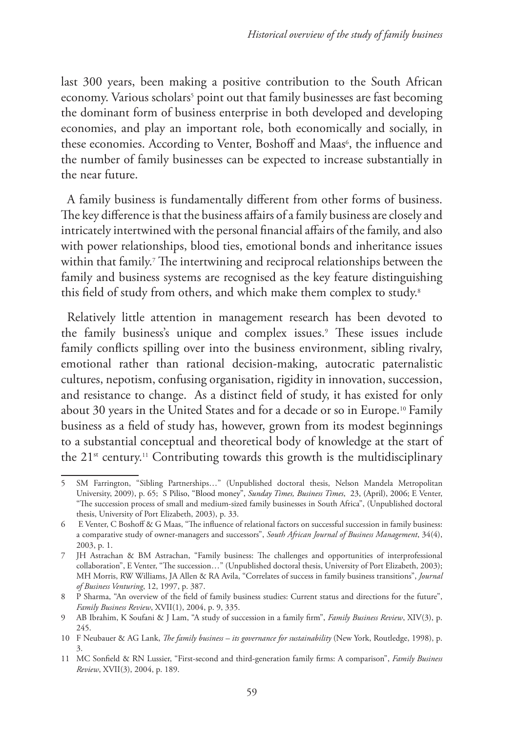last 300 years, been making a positive contribution to the South African economy. Various scholars<sup>5</sup> point out that family businesses are fast becoming the dominant form of business enterprise in both developed and developing economies, and play an important role, both economically and socially, in these economies. According to Venter, Boshoff and Maas<sup>6</sup>, the influence and the number of family businesses can be expected to increase substantially in the near future.

A family business is fundamentally different from other forms of business. The key difference is that the business affairs of a family business are closely and intricately intertwined with the personal financial affairs of the family, and also with power relationships, blood ties, emotional bonds and inheritance issues within that family.7 The intertwining and reciprocal relationships between the family and business systems are recognised as the key feature distinguishing this field of study from others, and which make them complex to study.<sup>8</sup>

Relatively little attention in management research has been devoted to the family business's unique and complex issues.<sup>9</sup> These issues include family conflicts spilling over into the business environment, sibling rivalry, emotional rather than rational decision-making, autocratic paternalistic cultures, nepotism, confusing organisation, rigidity in innovation, succession, and resistance to change. As a distinct field of study, it has existed for only about 30 years in the United States and for a decade or so in Europe.<sup>10</sup> Family business as a field of study has, however, grown from its modest beginnings to a substantial conceptual and theoretical body of knowledge at the start of the  $21^{st}$  century.<sup>11</sup> Contributing towards this growth is the multidisciplinary

<sup>5</sup> SM Farrington, "Sibling Partnerships…" (Unpublished doctoral thesis, Nelson Mandela Metropolitan University, 2009), p. 65; S Piliso, "Blood money", *Sunday Times, Business Times*, 23, (April), 2006; E Venter, "The succession process of small and medium-sized family businesses in South Africa", (Unpublished doctoral thesis, University of Port Elizabeth, 2003), p. 33.

<sup>6</sup> E Venter, C Boshoff & G Maas, "The influence of relational factors on successful succession in family business: a comparative study of owner-managers and successors", *South African Journal of Business Management*, 34(4), 2003, p. 1.

<sup>7</sup> JH Astrachan & BM Astrachan, "Family business: The challenges and opportunities of interprofessional collaboration", E Venter, "The succession…" (Unpublished doctoral thesis, University of Port Elizabeth, 2003); MH Morris, RW Williams, JA Allen & RA Avila, "Correlates of success in family business transitions", *Journal of Business Venturing*, 12, 1997, p. 387.

<sup>8</sup> P Sharma, "An overview of the field of family business studies: Current status and directions for the future", *Family Business Review*, XVII(1), 2004, p. 9, 335.

<sup>9</sup> AB Ibrahim, K Soufani & J Lam, "A study of succession in a family firm", *Family Business Review*, XIV(3), p. 245.

<sup>10</sup> F Neubauer & AG Lank, *The family business – its governance for sustainability* (New York, Routledge, 1998), p. 3.

<sup>11</sup> MC Sonfield & RN Lussier, "First-second and third-generation family firms: A comparison", *Family Business Review*, XVII(3), 2004, p. 189.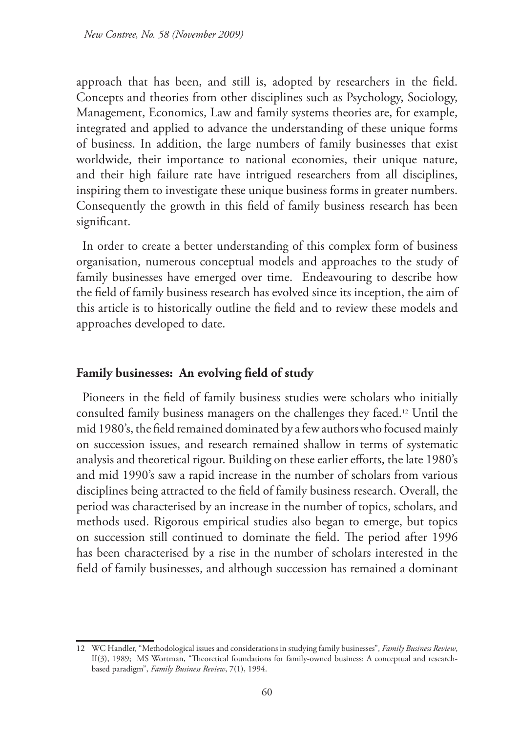approach that has been, and still is, adopted by researchers in the field. Concepts and theories from other disciplines such as Psychology, Sociology, Management, Economics, Law and family systems theories are, for example, integrated and applied to advance the understanding of these unique forms of business. In addition, the large numbers of family businesses that exist worldwide, their importance to national economies, their unique nature, and their high failure rate have intrigued researchers from all disciplines, inspiring them to investigate these unique business forms in greater numbers. Consequently the growth in this field of family business research has been significant.

In order to create a better understanding of this complex form of business organisation, numerous conceptual models and approaches to the study of family businesses have emerged over time. Endeavouring to describe how the field of family business research has evolved since its inception, the aim of this article is to historically outline the field and to review these models and approaches developed to date.

### **Family businesses: An evolving field of study**

Pioneers in the field of family business studies were scholars who initially consulted family business managers on the challenges they faced.12 Until the mid 1980's, the field remained dominated by a few authors who focused mainly on succession issues, and research remained shallow in terms of systematic analysis and theoretical rigour. Building on these earlier efforts, the late 1980's and mid 1990's saw a rapid increase in the number of scholars from various disciplines being attracted to the field of family business research. Overall, the period was characterised by an increase in the number of topics, scholars, and methods used. Rigorous empirical studies also began to emerge, but topics on succession still continued to dominate the field. The period after 1996 has been characterised by a rise in the number of scholars interested in the field of family businesses, and although succession has remained a dominant

<sup>12</sup> WC Handler, "Methodological issues and considerations in studying family businesses", *Family Business Review*, II(3), 1989; MS Wortman, "Theoretical foundations for family-owned business: A conceptual and researchbased paradigm", *Family Business Review*, 7(1), 1994.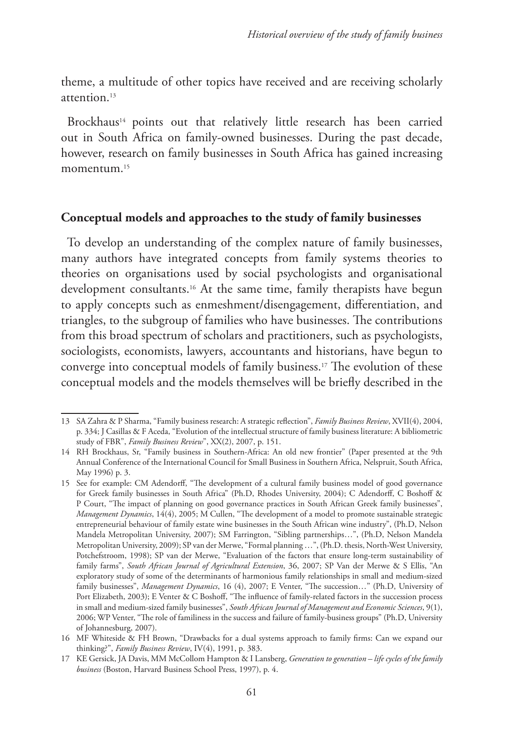theme, a multitude of other topics have received and are receiving scholarly attention<sup>13</sup>

Brockhaus<sup>14</sup> points out that relatively little research has been carried out in South Africa on family-owned businesses. During the past decade, however, research on family businesses in South Africa has gained increasing momentum.<sup>15</sup>

#### **Conceptual models and approaches to the study of family businesses**

To develop an understanding of the complex nature of family businesses, many authors have integrated concepts from family systems theories to theories on organisations used by social psychologists and organisational development consultants.<sup>16</sup> At the same time, family therapists have begun to apply concepts such as enmeshment/disengagement, differentiation, and triangles, to the subgroup of families who have businesses. The contributions from this broad spectrum of scholars and practitioners, such as psychologists, sociologists, economists, lawyers, accountants and historians, have begun to converge into conceptual models of family business.17 The evolution of these conceptual models and the models themselves will be briefly described in the

<sup>13</sup> SA Zahra & P Sharma, "Family business research: A strategic reflection", *Family Business Review*, XVII(4), 2004, p. 334; J Casillas & F Aceda, "Evolution of the intellectual structure of family business literature: A bibliometric study of FBR", *Family Business Review*", XX(2), 2007, p. 151.

<sup>14</sup> RH Brockhaus, Sr, "Family business in Southern-Africa: An old new frontier" (Paper presented at the 9th Annual Conference of the International Council for Small Business in Southern Africa, Nelspruit, South Africa, May 1996) p. 3.

<sup>15</sup> See for example: CM Adendorff, "The development of a cultural family business model of good governance for Greek family businesses in South Africa" (Ph.D, Rhodes University, 2004); C Adendorff, C Boshoff & P Court, "The impact of planning on good governance practices in South African Greek family businesses", *Management Dynamics*, 14(4), 2005; M Cullen, "The development of a model to promote sustainable strategic entrepreneurial behaviour of family estate wine businesses in the South African wine industry", (Ph.D, Nelson Mandela Metropolitan University, 2007); SM Farrington, "Sibling partnerships…", (Ph.D, Nelson Mandela Metropolitan University, 2009); SP van der Merwe, "Formal planning …", (Ph.D. thesis, North-West University, Potchefstroom, 1998); SP van der Merwe, "Evaluation of the factors that ensure long-term sustainability of family farms", *South African Journal of Agricultural Extension*, 36, 2007; SP Van der Merwe & S Ellis, "An exploratory study of some of the determinants of harmonious family relationships in small and medium-sized family businesses", *Management Dynamics*, 16 (4), 2007; E Venter, "The succession…" (Ph.D, University of Port Elizabeth, 2003); E Venter & C Boshoff, "The influence of family-related factors in the succession process in small and medium-sized family businesses", *South African Journal of Management and Economic Sciences*, 9(1), 2006; WP Venter, "The role of familiness in the success and failure of family-business groups" (Ph.D, University of Johannesburg, 2007).

<sup>16</sup> MF Whiteside & FH Brown, "Drawbacks for a dual systems approach to family firms: Can we expand our thinking?", *Family Business Review*, IV(4), 1991, p. 383.

<sup>17</sup> KE Gersick, JA Davis, MM McCollom Hampton & I Lansberg, *Generation to generation – life cycles of the family business* (Boston, Harvard Business School Press, 1997), p. 4.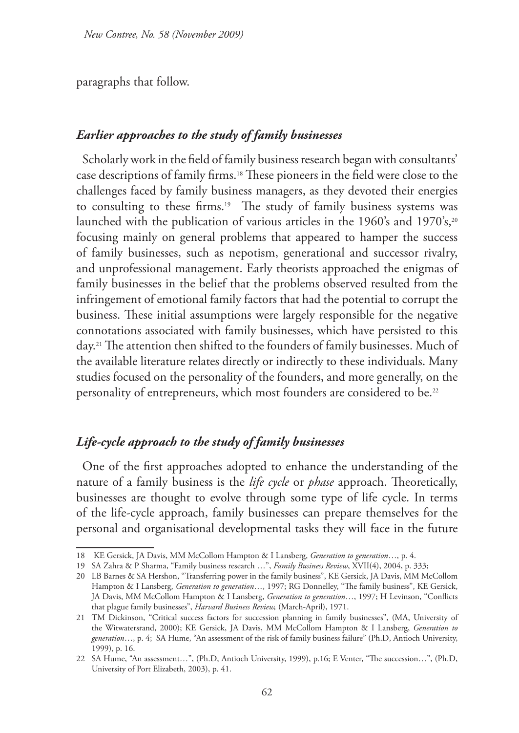paragraphs that follow.

### *Earlier approaches to the study of family businesses*

Scholarly work in the field of family business research began with consultants' case descriptions of family firms.18 These pioneers in the field were close to the challenges faced by family business managers, as they devoted their energies to consulting to these firms.<sup>19</sup> The study of family business systems was launched with the publication of various articles in the 1960's and 1970's,<sup>20</sup> focusing mainly on general problems that appeared to hamper the success of family businesses, such as nepotism, generational and successor rivalry, and unprofessional management. Early theorists approached the enigmas of family businesses in the belief that the problems observed resulted from the infringement of emotional family factors that had the potential to corrupt the business. These initial assumptions were largely responsible for the negative connotations associated with family businesses, which have persisted to this day.21 The attention then shifted to the founders of family businesses. Much of the available literature relates directly or indirectly to these individuals. Many studies focused on the personality of the founders, and more generally, on the personality of entrepreneurs, which most founders are considered to be.22

## *Life-cycle approach to the study of family businesses*

One of the first approaches adopted to enhance the understanding of the nature of a family business is the *life cycle* or *phase* approach. Theoretically, businesses are thought to evolve through some type of life cycle. In terms of the life-cycle approach, family businesses can prepare themselves for the personal and organisational developmental tasks they will face in the future

<sup>18</sup> KE Gersick, JA Davis, MM McCollom Hampton & I Lansberg, *Generation to generation*…, p. 4.

<sup>19</sup> SA Zahra & P Sharma, "Family business research …", *Family Business Review*, XVII(4), 2004, p. 333;

<sup>20</sup> LB Barnes & SA Hershon, "Transferring power in the family business", KE Gersick, JA Davis, MM McCollom Hampton & I Lansberg, *Generation to generation*…, 1997; RG Donnelley, "The family business", KE Gersick, JA Davis, MM McCollom Hampton & I Lansberg, *Generation to generation*…, 1997; H Levinson, "Conflicts that plague family businesses", *Harvard Business Review,* (March-April), 1971.

<sup>21</sup> TM Dickinson, "Critical success factors for succession planning in family businesses", (MA, University of the Witwatersrand, 2000); KE Gersick, JA Davis, MM McCollom Hampton & I Lansberg, *Generation to generation*…, p. 4; SA Hume, "An assessment of the risk of family business failure" (Ph.D, Antioch University, 1999), p. 16.

<sup>22</sup> SA Hume, "An assessment…", (Ph.D, Antioch University, 1999), p.16; E Venter, "The succession…", (Ph.D, University of Port Elizabeth, 2003), p. 41.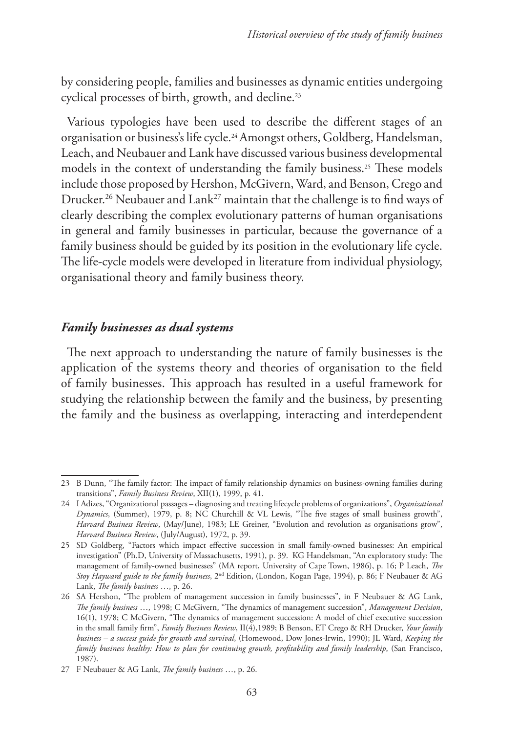by considering people, families and businesses as dynamic entities undergoing cyclical processes of birth, growth, and decline.23

Various typologies have been used to describe the different stages of an organisation or business's life cycle.24Amongst others, Goldberg, Handelsman, Leach, and Neubauer and Lank have discussed various business developmental models in the context of understanding the family business.<sup>25</sup> These models include those proposed by Hershon, McGivern, Ward, and Benson, Crego and Drucker.<sup>26</sup> Neubauer and Lank<sup>27</sup> maintain that the challenge is to find ways of clearly describing the complex evolutionary patterns of human organisations in general and family businesses in particular, because the governance of a family business should be guided by its position in the evolutionary life cycle. The life-cycle models were developed in literature from individual physiology, organisational theory and family business theory.

### *Family businesses as dual systems*

The next approach to understanding the nature of family businesses is the application of the systems theory and theories of organisation to the field of family businesses. This approach has resulted in a useful framework for studying the relationship between the family and the business, by presenting the family and the business as overlapping, interacting and interdependent

<sup>23</sup> B Dunn, "The family factor: The impact of family relationship dynamics on business-owning families during transitions", *Family Business Review*, XII(1), 1999, p. 41.

<sup>24</sup> I Adizes, "Organizational passages – diagnosing and treating lifecycle problems of organizations", *Organizational Dynamics*, (Summer), 1979, p. 8; NC Churchill & VL Lewis, "The five stages of small business growth", *Harvard Business Review*, (May/June), 1983; LE Greiner, "Evolution and revolution as organisations grow", *Harvard Business Review*, (July/August), 1972, p. 39.

<sup>25</sup> SD Goldberg, "Factors which impact effective succession in small family-owned businesses: An empirical investigation" (Ph.D, University of Massachusetts, 1991), p. 39. KG Handelsman, "An exploratory study: The management of family-owned businesses" (MA report, University of Cape Town, 1986), p. 16; P Leach, *The Stoy Hayward guide to the family business*, 2nd Edition, (London, Kogan Page, 1994), p. 86; F Neubauer & AG Lank, *The family business* …, p. 26.

<sup>26</sup> SA Hershon, "The problem of management succession in family businesses", in F Neubauer & AG Lank, *The family business* …, 1998; C McGivern, "The dynamics of management succession", *Management Decision*, 16(1), 1978; C McGivern, "The dynamics of management succession: A model of chief executive succession in the small family firm", *Family Business Review*, II(4),1989; B Benson, ET Crego & RH Drucker, *Your family business – a success guide for growth and survival*, (Homewood, Dow Jones-Irwin, 1990); JL Ward, *Keeping the family business healthy: How to plan for continuing growth, profitability and family leadership*, (San Francisco, 1987).

<sup>27</sup> F Neubauer & AG Lank, *The family business* …, p. 26.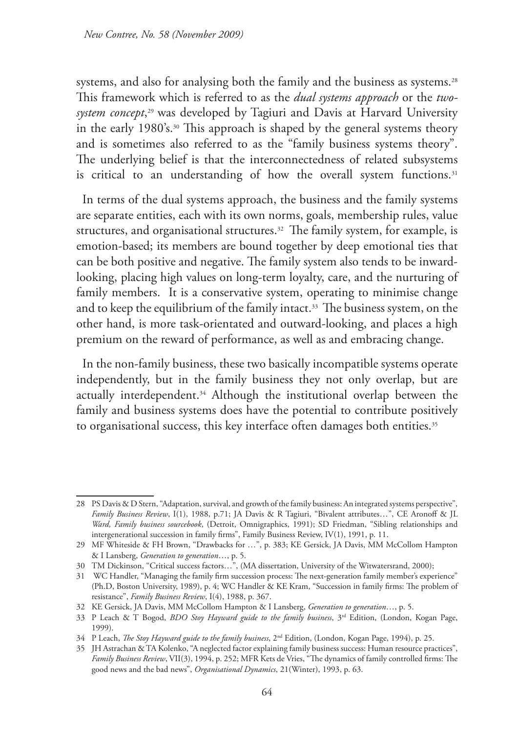systems, and also for analysing both the family and the business as systems.<sup>28</sup> This framework which is referred to as the *dual systems approach* or the *twosystem concept*, <sup>29</sup> was developed by Tagiuri and Davis at Harvard University in the early 1980's.30 This approach is shaped by the general systems theory and is sometimes also referred to as the "family business systems theory". The underlying belief is that the interconnectedness of related subsystems is critical to an understanding of how the overall system functions.<sup>31</sup>

In terms of the dual systems approach, the business and the family systems are separate entities, each with its own norms, goals, membership rules, value structures, and organisational structures.<sup>32</sup> The family system, for example, is emotion-based; its members are bound together by deep emotional ties that can be both positive and negative. The family system also tends to be inwardlooking, placing high values on long-term loyalty, care, and the nurturing of family members. It is a conservative system, operating to minimise change and to keep the equilibrium of the family intact.<sup>33</sup> The business system, on the other hand, is more task-orientated and outward-looking, and places a high premium on the reward of performance, as well as and embracing change.

In the non-family business, these two basically incompatible systems operate independently, but in the family business they not only overlap, but are actually interdependent.<sup>34</sup> Although the institutional overlap between the family and business systems does have the potential to contribute positively to organisational success, this key interface often damages both entities.<sup>35</sup>

<sup>28</sup> PS Davis & D Stern, "Adaptation, survival, and growth of the family business: An integrated systems perspective", *Family Business Review*, I(1), 1988, p.71; JA Davis & R Tagiuri, "Bivalent attributes…", CE Aronoff & JL *Ward, Family business sourcebook*, (Detroit, Omnigraphics, 1991); SD Friedman, "Sibling relationships and intergenerational succession in family firms", Family Business Review, IV(1), 1991, p. 11.

<sup>29</sup> MF Whiteside & FH Brown, "Drawbacks for …", p. 383; KE Gersick, JA Davis, MM McCollom Hampton & I Lansberg, *Generation to generation*…, p. 5.

<sup>30</sup> TM Dickinson, "Critical success factors…", (MA dissertation, University of the Witwatersrand, 2000);

<sup>31</sup> WC Handler, "Managing the family firm succession process: The next-generation family member's experience" (Ph.D, Boston University, 1989), p. 4; WC Handler & KE Kram, "Succession in family firms: The problem of resistance", *Family Business Review*, I(4), 1988, p. 367.

<sup>32</sup> KE Gersick, JA Davis, MM McCollom Hampton & I Lansberg, *Generation to generation*…, p. 5.

<sup>33</sup> P Leach & T Bogod, *BDO Stoy Hayward guide to the family business*, 3rd Edition, (London, Kogan Page, 1999).

<sup>34</sup> P Leach, *The Stoy Hayward guide to the family business*, 2nd Edition, (London, Kogan Page, 1994), p. 25.

<sup>35</sup> JH Astrachan & TA Kolenko, "A neglected factor explaining family business success: Human resource practices", *Family Business Review*, VII(3), 1994, p. 252; MFR Kets de Vries, "The dynamics of family controlled firms: The good news and the bad news", *Organisational Dynamics*, 21(Winter), 1993, p. 63.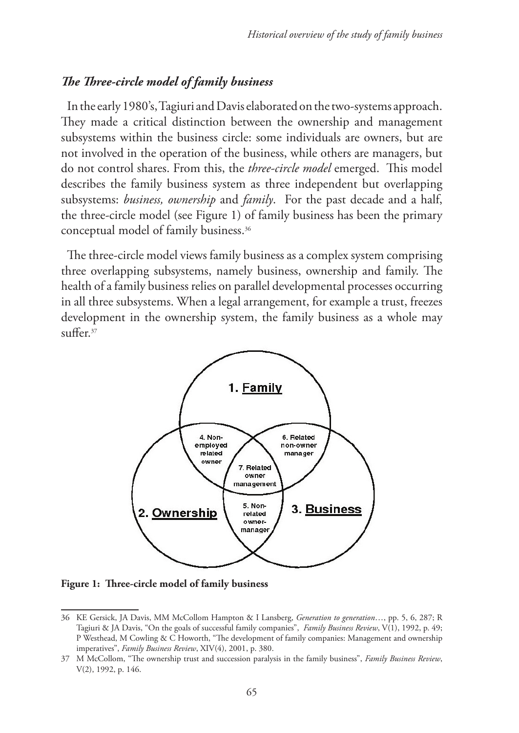## *The Three-circle model of family business*

In the early 1980's, Tagiuri and Davis elaborated on the two-systems approach. They made a critical distinction between the ownership and management subsystems within the business circle: some individuals are owners, but are not involved in the operation of the business, while others are managers, but do not control shares. From this, the *three-circle model* emerged. This model describes the family business system as three independent but overlapping subsystems: *business, ownership* and *family*. For the past decade and a half, the three-circle model (see Figure 1) of family business has been the primary conceptual model of family business.<sup>36</sup>

The three-circle model views family business as a complex system comprising three overlapping subsystems, namely business, ownership and family. The health of a family business relies on parallel developmental processes occurring in all three subsystems. When a legal arrangement, for example a trust, freezes development in the ownership system, the family business as a whole may  $\sin$ ffer.<sup>37</sup>



**Figure 1: Three-circle model of family business**

<sup>36</sup> KE Gersick, JA Davis, MM McCollom Hampton & I Lansberg, *Generation to generation*…, pp. 5, 6, 287; R Tagiuri & JA Davis, "On the goals of successful family companies", *Family Business Review*, V(1), 1992, p. 49; P Westhead, M Cowling & C Howorth, "The development of family companies: Management and ownership imperatives", *Family Business Review*, XIV(4), 2001, p. 380.

<sup>37</sup> M McCollom, "The ownership trust and succession paralysis in the family business", *Family Business Review*, V(2), 1992, p. 146.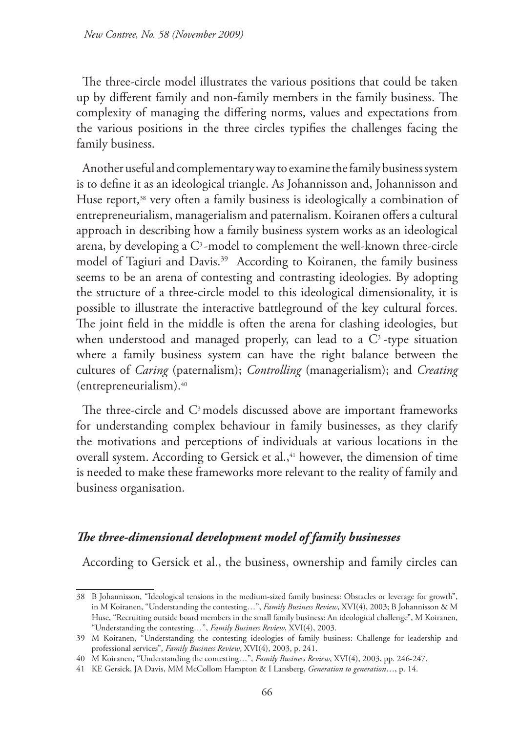The three-circle model illustrates the various positions that could be taken up by different family and non-family members in the family business. The complexity of managing the differing norms, values and expectations from the various positions in the three circles typifies the challenges facing the family business.

Another useful and complementary way to examine the family business system is to define it as an ideological triangle. As Johannisson and, Johannisson and Huse report,<sup>38</sup> very often a family business is ideologically a combination of entrepreneurialism, managerialism and paternalism. Koiranen offers a cultural approach in describing how a family business system works as an ideological arena, by developing a  $C<sup>3</sup>$ -model to complement the well-known three-circle model of Tagiuri and Davis.<sup>39</sup> According to Koiranen, the family business seems to be an arena of contesting and contrasting ideologies. By adopting the structure of a three-circle model to this ideological dimensionality, it is possible to illustrate the interactive battleground of the key cultural forces. The joint field in the middle is often the arena for clashing ideologies, but when understood and managed properly, can lead to a  $C<sup>3</sup>$ -type situation where a family business system can have the right balance between the cultures of *Caring* (paternalism); *Controlling* (managerialism); and *Creating* (entrepreneurialism).40

The three-circle and C<sup>3</sup> models discussed above are important frameworks for understanding complex behaviour in family businesses, as they clarify the motivations and perceptions of individuals at various locations in the overall system. According to Gersick et al.,<sup>41</sup> however, the dimension of time is needed to make these frameworks more relevant to the reality of family and business organisation.

# *The three-dimensional development model of family businesses*

According to Gersick et al., the business, ownership and family circles can

<sup>38</sup> B Johannisson, "Ideological tensions in the medium-sized family business: Obstacles or leverage for growth", in M Koiranen, "Understanding the contesting…", *Family Business Review*, XVI(4), 2003; B Johannisson & M Huse, "Recruiting outside board members in the small family business: An ideological challenge", M Koiranen, "Understanding the contesting…", *Family Business Review*, XVI(4), 2003.

<sup>39</sup> M Koiranen, "Understanding the contesting ideologies of family business: Challenge for leadership and professional services", *Family Business Review*, XVI(4), 2003, p. 241.

<sup>40</sup> M Koiranen, "Understanding the contesting…", *Family Business Review*, XVI(4), 2003, pp. 246-247.

<sup>41</sup> KE Gersick, JA Davis, MM McCollom Hampton & I Lansberg, *Generation to generation*…, p. 14.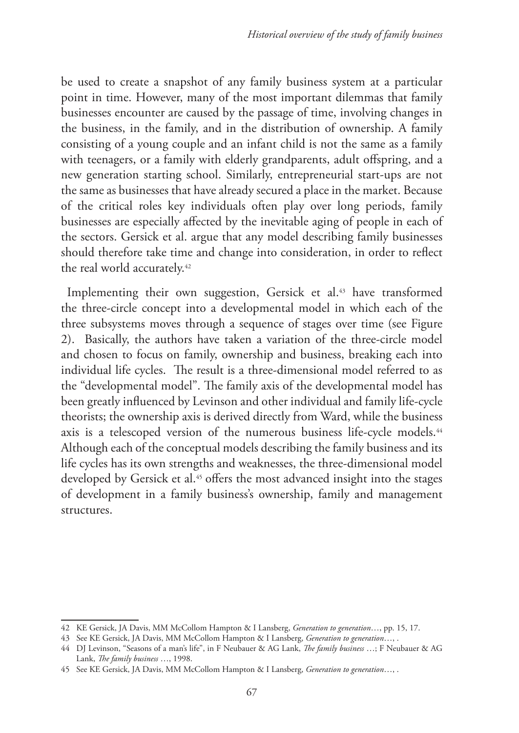be used to create a snapshot of any family business system at a particular point in time. However, many of the most important dilemmas that family businesses encounter are caused by the passage of time, involving changes in the business, in the family, and in the distribution of ownership. A family consisting of a young couple and an infant child is not the same as a family with teenagers, or a family with elderly grandparents, adult offspring, and a new generation starting school. Similarly, entrepreneurial start-ups are not the same as businesses that have already secured a place in the market. Because of the critical roles key individuals often play over long periods, family businesses are especially affected by the inevitable aging of people in each of the sectors. Gersick et al. argue that any model describing family businesses should therefore take time and change into consideration, in order to reflect the real world accurately.<sup>42</sup>

Implementing their own suggestion, Gersick et al.<sup>43</sup> have transformed the three-circle concept into a developmental model in which each of the three subsystems moves through a sequence of stages over time (see Figure 2). Basically, the authors have taken a variation of the three-circle model and chosen to focus on family, ownership and business, breaking each into individual life cycles. The result is a three-dimensional model referred to as the "developmental model". The family axis of the developmental model has been greatly influenced by Levinson and other individual and family life-cycle theorists; the ownership axis is derived directly from Ward, while the business axis is a telescoped version of the numerous business life-cycle models.<sup>44</sup> Although each of the conceptual models describing the family business and its life cycles has its own strengths and weaknesses, the three-dimensional model developed by Gersick et al.<sup>45</sup> offers the most advanced insight into the stages of development in a family business's ownership, family and management structures.

<sup>42</sup> KE Gersick, JA Davis, MM McCollom Hampton & I Lansberg, *Generation to generation*…, pp. 15, 17.

<sup>43</sup> See KE Gersick, JA Davis, MM McCollom Hampton & I Lansberg, *Generation to generation*…, .

<sup>44</sup> DJ Levinson, "Seasons of a man's life", in F Neubauer & AG Lank, *The family business* …; F Neubauer & AG Lank, *The family business* …, 1998.

<sup>45</sup> See KE Gersick, JA Davis, MM McCollom Hampton & I Lansberg, *Generation to generation*…, .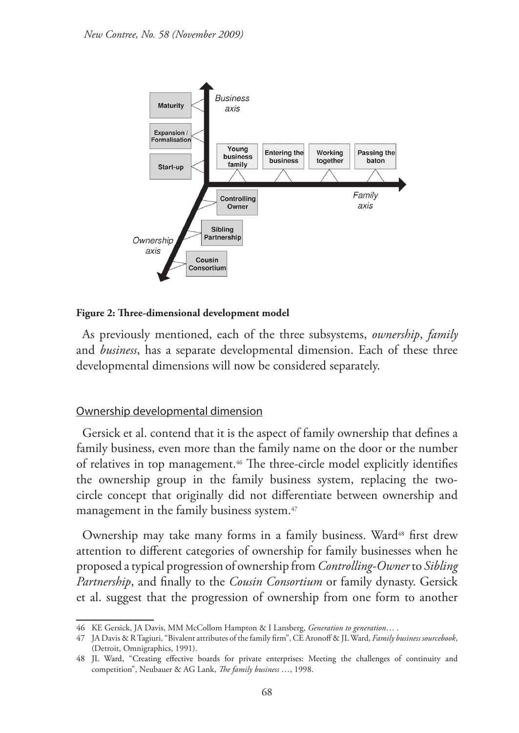

#### **Figure 2: Three-dimensional development model**

As previously mentioned, each of the three subsystems, *ownership*, *family* and *business*, has a separate developmental dimension. Each of these three developmental dimensions will now be considered separately.

#### Ownership developmental dimension

Gersick et al. contend that it is the aspect of family ownership that defines a family business, even more than the family name on the door or the number of relatives in top management.<sup>46</sup> The three-circle model explicitly identifies the ownership group in the family business system, replacing the twocircle concept that originally did not differentiate between ownership and management in the family business system.<sup>47</sup>

Ownership may take many forms in a family business. Ward<sup>48</sup> first drew attention to different categories of ownership for family businesses when he proposed a typical progression of ownership from *Controlling-Owner* to *Sibling Partnership*, and finally to the *Cousin Consortium* or family dynasty. Gersick et al. suggest that the progression of ownership from one form to another

<sup>46</sup> KE Gersick, JA Davis, MM McCollom Hampton & I Lansberg, *Generation to generation*… .

<sup>47</sup> JA Davis & R Tagiuri, "Bivalent attributes of the family firm", CE Aronoff & JL Ward, *Family business sourcebook*, (Detroit, Omnigraphics, 1991).

<sup>48</sup> JL Ward, "Creating effective boards for private enterprises: Meeting the challenges of continuity and competition", Neubauer & AG Lank, *The family business* …, 1998.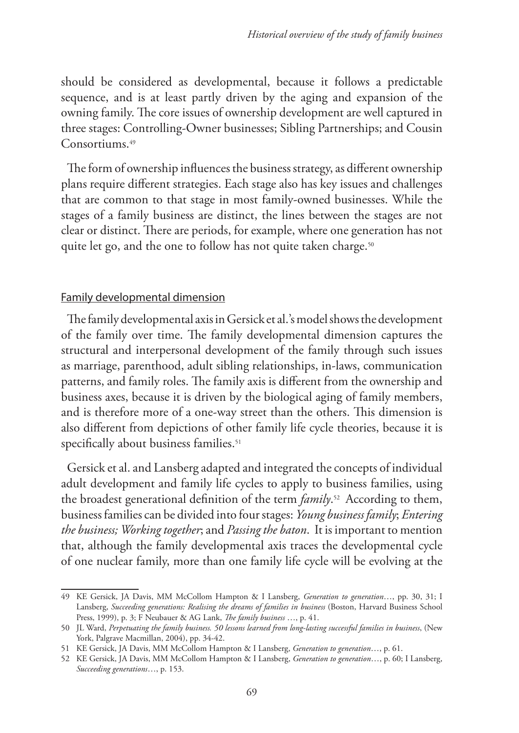should be considered as developmental, because it follows a predictable sequence, and is at least partly driven by the aging and expansion of the owning family. The core issues of ownership development are well captured in three stages: Controlling-Owner businesses; Sibling Partnerships; and Cousin Consortiums.<sup>49</sup>

The form of ownership influences the business strategy, as different ownership plans require different strategies. Each stage also has key issues and challenges that are common to that stage in most family-owned businesses. While the stages of a family business are distinct, the lines between the stages are not clear or distinct. There are periods, for example, where one generation has not quite let go, and the one to follow has not quite taken charge.<sup>50</sup>

### Family developmental dimension

The family developmental axis in Gersick et al.'s model shows the development of the family over time. The family developmental dimension captures the structural and interpersonal development of the family through such issues as marriage, parenthood, adult sibling relationships, in-laws, communication patterns, and family roles. The family axis is different from the ownership and business axes, because it is driven by the biological aging of family members, and is therefore more of a one-way street than the others. This dimension is also different from depictions of other family life cycle theories, because it is specifically about business families.<sup>51</sup>

Gersick et al. and Lansberg adapted and integrated the concepts of individual adult development and family life cycles to apply to business families, using the broadest generational definition of the term *family*. 52 According to them, business families can be divided into four stages: *Young business family*; *Entering the business; Working together*; and *Passing the baton*. It is important to mention that, although the family developmental axis traces the developmental cycle of one nuclear family, more than one family life cycle will be evolving at the

<sup>49</sup> KE Gersick, JA Davis, MM McCollom Hampton & I Lansberg, *Generation to generation*…, pp. 30, 31; I Lansberg, *Succeeding generations: Realising the dreams of families in business* (Boston, Harvard Business School Press, 1999), p. 3; F Neubauer & AG Lank, *The family business* …, p. 41.

<sup>50</sup> JL Ward, *Perpetuating the family business. 50 lessons learned from long-lasting successful families in business*, (New York, Palgrave Macmillan, 2004), pp. 34-42.

<sup>51</sup> KE Gersick, JA Davis, MM McCollom Hampton & I Lansberg, *Generation to generation*…, p. 61.

<sup>52</sup> KE Gersick, JA Davis, MM McCollom Hampton & I Lansberg, *Generation to generation*…, p. 60; I Lansberg, *Succeeding generations*…, p. 153.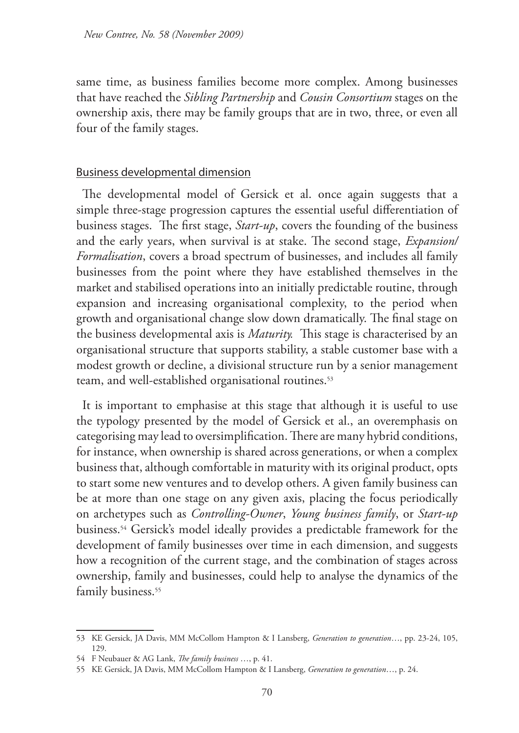same time, as business families become more complex. Among businesses that have reached the *Sibling Partnership* and *Cousin Consortium* stages on the ownership axis, there may be family groups that are in two, three, or even all four of the family stages.

### Business developmental dimension

The developmental model of Gersick et al. once again suggests that a simple three-stage progression captures the essential useful differentiation of business stages. The first stage, *Start-up*, covers the founding of the business and the early years, when survival is at stake. The second stage, *Expansion/ Formalisation*, covers a broad spectrum of businesses, and includes all family businesses from the point where they have established themselves in the market and stabilised operations into an initially predictable routine, through expansion and increasing organisational complexity, to the period when growth and organisational change slow down dramatically. The final stage on the business developmental axis is *Maturity.* This stage is characterised by an organisational structure that supports stability, a stable customer base with a modest growth or decline, a divisional structure run by a senior management team, and well-established organisational routines.<sup>53</sup>

It is important to emphasise at this stage that although it is useful to use the typology presented by the model of Gersick et al., an overemphasis on categorising may lead to oversimplification. There are many hybrid conditions, for instance, when ownership is shared across generations, or when a complex business that, although comfortable in maturity with its original product, opts to start some new ventures and to develop others. A given family business can be at more than one stage on any given axis, placing the focus periodically on archetypes such as *Controlling-Owner*, *Young business family*, or *Start-up* business.54 Gersick's model ideally provides a predictable framework for the development of family businesses over time in each dimension, and suggests how a recognition of the current stage, and the combination of stages across ownership, family and businesses, could help to analyse the dynamics of the family business.<sup>55</sup>

<sup>53</sup> KE Gersick, JA Davis, MM McCollom Hampton & I Lansberg, *Generation to generation*…, pp. 23-24, 105, 129.

<sup>54</sup> F Neubauer & AG Lank, *The family business* …, p. 41.

<sup>55</sup> KE Gersick, JA Davis, MM McCollom Hampton & I Lansberg, *Generation to generation*…, p. 24.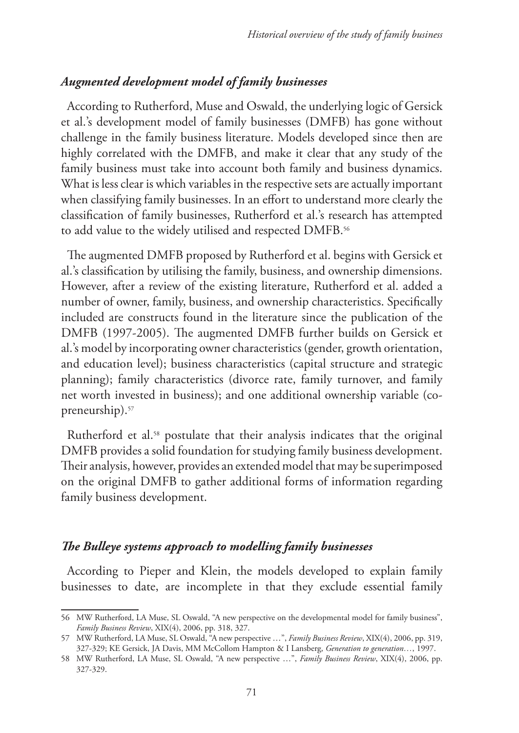## *Augmented development model of family businesses*

According to Rutherford, Muse and Oswald, the underlying logic of Gersick et al.'s development model of family businesses (DMFB) has gone without challenge in the family business literature. Models developed since then are highly correlated with the DMFB, and make it clear that any study of the family business must take into account both family and business dynamics. What is less clear is which variables in the respective sets are actually important when classifying family businesses. In an effort to understand more clearly the classification of family businesses, Rutherford et al.'s research has attempted to add value to the widely utilised and respected DMFB.<sup>56</sup>

The augmented DMFB proposed by Rutherford et al. begins with Gersick et al.'s classification by utilising the family, business, and ownership dimensions. However, after a review of the existing literature, Rutherford et al. added a number of owner, family, business, and ownership characteristics. Specifically included are constructs found in the literature since the publication of the DMFB (1997-2005). The augmented DMFB further builds on Gersick et al.'s model by incorporating owner characteristics (gender, growth orientation, and education level); business characteristics (capital structure and strategic planning); family characteristics (divorce rate, family turnover, and family net worth invested in business); and one additional ownership variable (copreneurship).57

Rutherford et al.<sup>58</sup> postulate that their analysis indicates that the original DMFB provides a solid foundation for studying family business development. Their analysis, however, provides an extended model that may be superimposed on the original DMFB to gather additional forms of information regarding family business development.

### *The Bulleye systems approach to modelling family businesses*

According to Pieper and Klein, the models developed to explain family businesses to date, are incomplete in that they exclude essential family

<sup>56</sup> MW Rutherford, LA Muse, SL Oswald, "A new perspective on the developmental model for family business", *Family Business Review*, XIX(4), 2006, pp. 318, 327.

<sup>57</sup> MW Rutherford, LA Muse, SL Oswald, "A new perspective …", *Family Business Review*, XIX(4), 2006, pp. 319, 327-329; KE Gersick, JA Davis, MM McCollom Hampton & I Lansberg, *Generation to generation…*, 1997.

<sup>58</sup> MW Rutherford, LA Muse, SL Oswald, "A new perspective …", *Family Business Review*, XIX(4), 2006, pp. 327-329.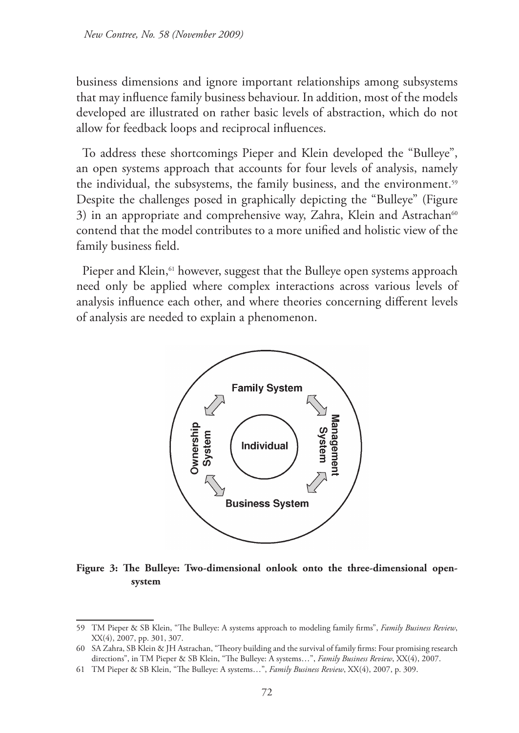business dimensions and ignore important relationships among subsystems that may influence family business behaviour. In addition, most of the models developed are illustrated on rather basic levels of abstraction, which do not allow for feedback loops and reciprocal influences.

To address these shortcomings Pieper and Klein developed the "Bulleye", an open systems approach that accounts for four levels of analysis, namely the individual, the subsystems, the family business, and the environment.59 Despite the challenges posed in graphically depicting the "Bulleye" (Figure 3) in an appropriate and comprehensive way, Zahra, Klein and Astrachan<sup>60</sup> contend that the model contributes to a more unified and holistic view of the family business field.

Pieper and Klein,<sup>61</sup> however, suggest that the Bulleye open systems approach need only be applied where complex interactions across various levels of analysis influence each other, and where theories concerning different levels of analysis are needed to explain a phenomenon.



**Figure 3: The Bulleye: Two-dimensional onlook onto the three-dimensional opensystem**

<sup>59</sup> TM Pieper & SB Klein, "The Bulleye: A systems approach to modeling family firms", *Family Business Review*, XX(4), 2007, pp. 301, 307.

<sup>60</sup> SA Zahra, SB Klein & JH Astrachan, "Theory building and the survival of family firms: Four promising research directions", in TM Pieper & SB Klein, "The Bulleye: A systems…", *Family Business Review*, XX(4), 2007.

<sup>61</sup> TM Pieper & SB Klein, "The Bulleye: A systems…", *Family Business Review*, XX(4), 2007, p. 309.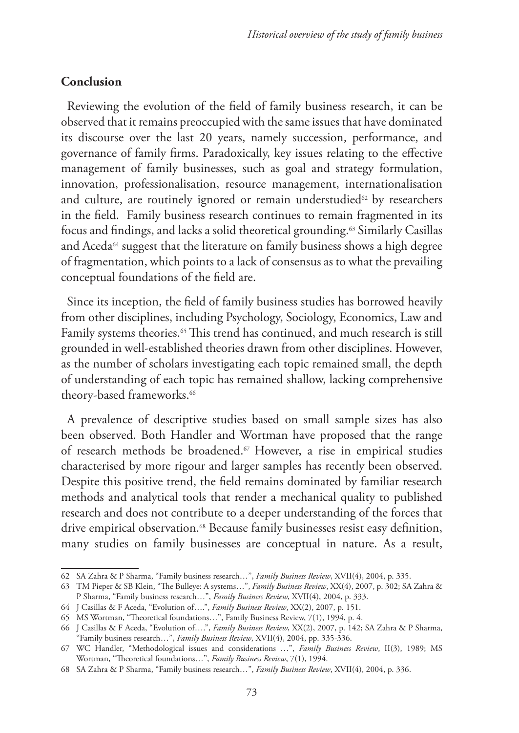### **Conclusion**

Reviewing the evolution of the field of family business research, it can be observed that it remains preoccupied with the same issues that have dominated its discourse over the last 20 years, namely succession, performance, and governance of family firms. Paradoxically, key issues relating to the effective management of family businesses, such as goal and strategy formulation, innovation, professionalisation, resource management, internationalisation and culture, are routinely ignored or remain understudied<sup>62</sup> by researchers in the field. Family business research continues to remain fragmented in its focus and findings, and lacks a solid theoretical grounding.63 Similarly Casillas and Aceda<sup>64</sup> suggest that the literature on family business shows a high degree of fragmentation, which points to a lack of consensus as to what the prevailing conceptual foundations of the field are.

Since its inception, the field of family business studies has borrowed heavily from other disciplines, including Psychology, Sociology, Economics, Law and Family systems theories.<sup>65</sup> This trend has continued, and much research is still grounded in well-established theories drawn from other disciplines. However, as the number of scholars investigating each topic remained small, the depth of understanding of each topic has remained shallow, lacking comprehensive theory-based frameworks.<sup>66</sup>

A prevalence of descriptive studies based on small sample sizes has also been observed. Both Handler and Wortman have proposed that the range of research methods be broadened.<sup>67</sup> However, a rise in empirical studies characterised by more rigour and larger samples has recently been observed. Despite this positive trend, the field remains dominated by familiar research methods and analytical tools that render a mechanical quality to published research and does not contribute to a deeper understanding of the forces that drive empirical observation.<sup>68</sup> Because family businesses resist easy definition, many studies on family businesses are conceptual in nature. As a result,

<sup>62</sup> SA Zahra & P Sharma, "Family business research…", *Family Business Review*, XVII(4), 2004, p. 335.

<sup>63</sup> TM Pieper & SB Klein, "The Bulleye: A systems…", *Family Business Review*, XX(4), 2007, p. 302; SA Zahra & P Sharma, "Family business research…", *Family Business Review*, XVII(4), 2004, p. 333.

<sup>64</sup> J Casillas & F Aceda, "Evolution of….", *Family Business Review*, XX(2), 2007, p. 151.

<sup>65</sup> MS Wortman, "Theoretical foundations…", Family Business Review, 7(1), 1994, p. 4.

<sup>66</sup> J Casillas & F Aceda, "Evolution of….", *Family Business Review*, XX(2), 2007, p. 142; SA Zahra & P Sharma, "Family business research…", *Family Business Review*, XVII(4), 2004, pp. 335-336.

<sup>67</sup> WC Handler, "Methodological issues and considerations …", *Family Business Review*, II(3), 1989; MS Wortman, "Theoretical foundations…", *Family Business Review*, 7(1), 1994.

<sup>68</sup> SA Zahra & P Sharma, "Family business research…", *Family Business Review*, XVII(4), 2004, p. 336.